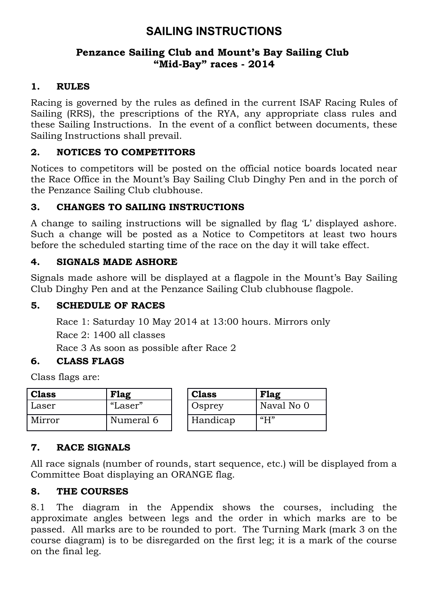# **SAILING INSTRUCTIONS**

#### **Penzance Sailing Club and Mount's Bay Sailing Club "Mid-Bay" races - 2014**

#### **1. RULES**

Racing is governed by the rules as defined in the current ISAF Racing Rules of Sailing (RRS), the prescriptions of the RYA, any appropriate class rules and these Sailing Instructions. In the event of a conflict between documents, these Sailing Instructions shall prevail.

# **2. NOTICES TO COMPETITORS**

Notices to competitors will be posted on the official notice boards located near the Race Office in the Mount's Bay Sailing Club Dinghy Pen and in the porch of the Penzance Sailing Club clubhouse.

# **3. CHANGES TO SAILING INSTRUCTIONS**

A change to sailing instructions will be signalled by flag 'L' displayed ashore. Such a change will be posted as a Notice to Competitors at least two hours before the scheduled starting time of the race on the day it will take effect.

#### **4. SIGNALS MADE ASHORE**

Signals made ashore will be displayed at a flagpole in the Mount's Bay Sailing Club Dinghy Pen and at the Penzance Sailing Club clubhouse flagpole.

#### **5. SCHEDULE OF RACES**

Race 1: Saturday 10 May 2014 at 13:00 hours. Mirrors only Race 2: 1400 all classes Race 3 As soon as possible after Race 2

#### **6. CLASS FLAGS**

Class flags are:

| <b>Class</b> | <b>Flag</b> | <b>Class</b> | Flag       |
|--------------|-------------|--------------|------------|
| Laser        | "Laser"     | Osprey       | Naval No 0 |
| Mirror       | Numeral 6   | Handicap     | ``H"       |

# **7. RACE SIGNALS**

All race signals (number of rounds, start sequence, etc.) will be displayed from a Committee Boat displaying an ORANGE flag.

#### **8. THE COURSES**

8.1 The diagram in the Appendix shows the courses, including the approximate angles between legs and the order in which marks are to be passed. All marks are to be rounded to port. The Turning Mark (mark 3 on the course diagram) is to be disregarded on the first leg; it is a mark of the course on the final leg.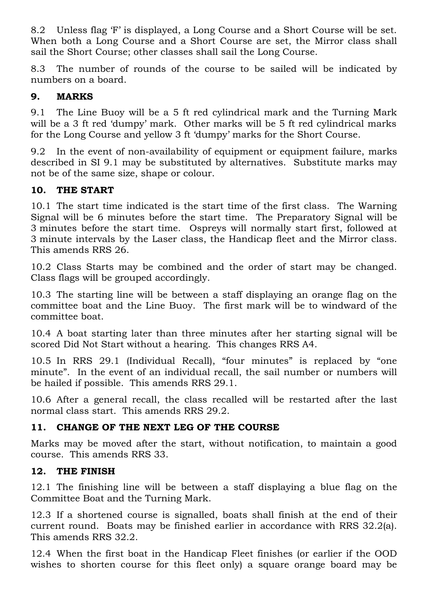8.2 Unless flag 'F' is displayed, a Long Course and a Short Course will be set. When both a Long Course and a Short Course are set, the Mirror class shall sail the Short Course; other classes shall sail the Long Course.

8.3 The number of rounds of the course to be sailed will be indicated by numbers on a board.

# **9. MARKS**

9.1 The Line Buoy will be a 5 ft red cylindrical mark and the Turning Mark will be a 3 ft red 'dumpy' mark. Other marks will be 5 ft red cylindrical marks for the Long Course and yellow 3 ft 'dumpy' marks for the Short Course.

9.2 In the event of non-availability of equipment or equipment failure, marks described in SI 9.1 may be substituted by alternatives. Substitute marks may not be of the same size, shape or colour.

# **10. THE START**

10.1 The start time indicated is the start time of the first class. The Warning Signal will be 6 minutes before the start time. The Preparatory Signal will be 3 minutes before the start time. Ospreys will normally start first, followed at 3 minute intervals by the Laser class, the Handicap fleet and the Mirror class. This amends RRS 26.

10.2 Class Starts may be combined and the order of start may be changed. Class flags will be grouped accordingly.

10.3 The starting line will be between a staff displaying an orange flag on the committee boat and the Line Buoy. The first mark will be to windward of the committee boat.

10.4 A boat starting later than three minutes after her starting signal will be scored Did Not Start without a hearing. This changes RRS A4.

10.5 In RRS 29.1 (Individual Recall), "four minutes" is replaced by "one minute". In the event of an individual recall, the sail number or numbers will be hailed if possible. This amends RRS 29.1.

10.6 After a general recall, the class recalled will be restarted after the last normal class start. This amends RRS 29.2.

# **11. CHANGE OF THE NEXT LEG OF THE COURSE**

Marks may be moved after the start, without notification, to maintain a good course. This amends RRS 33.

# **12. THE FINISH**

12.1 The finishing line will be between a staff displaying a blue flag on the Committee Boat and the Turning Mark.

12.3 If a shortened course is signalled, boats shall finish at the end of their current round. Boats may be finished earlier in accordance with RRS 32.2(a). This amends RRS 32.2.

12.4 When the first boat in the Handicap Fleet finishes (or earlier if the OOD wishes to shorten course for this fleet only) a square orange board may be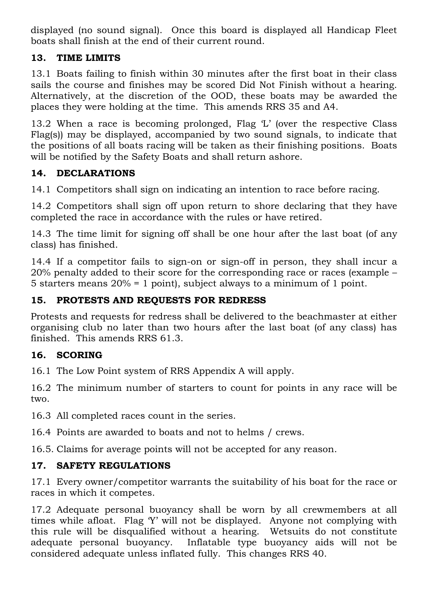displayed (no sound signal). Once this board is displayed all Handicap Fleet boats shall finish at the end of their current round.

# **13. TIME LIMITS**

13.1 Boats failing to finish within 30 minutes after the first boat in their class sails the course and finishes may be scored Did Not Finish without a hearing. Alternatively, at the discretion of the OOD, these boats may be awarded the places they were holding at the time. This amends RRS 35 and A4.

13.2 When a race is becoming prolonged, Flag 'L' (over the respective Class Flag(s)) may be displayed, accompanied by two sound signals, to indicate that the positions of all boats racing will be taken as their finishing positions. Boats will be notified by the Safety Boats and shall return ashore.

#### **14. DECLARATIONS**

14.1 Competitors shall sign on indicating an intention to race before racing.

14.2 Competitors shall sign off upon return to shore declaring that they have completed the race in accordance with the rules or have retired.

14.3 The time limit for signing off shall be one hour after the last boat (of any class) has finished.

14.4 If a competitor fails to sign-on or sign-off in person, they shall incur a 20% penalty added to their score for the corresponding race or races (example – 5 starters means 20% = 1 point), subject always to a minimum of 1 point.

#### **15. PROTESTS AND REQUESTS FOR REDRESS**

Protests and requests for redress shall be delivered to the beachmaster at either organising club no later than two hours after the last boat (of any class) has finished. This amends RRS 61.3.

# **16. SCORING**

16.1 The Low Point system of RRS Appendix A will apply.

16.2 The minimum number of starters to count for points in any race will be two.

16.3 All completed races count in the series.

16.4 Points are awarded to boats and not to helms / crews.

16.5. Claims for average points will not be accepted for any reason.

# **17. SAFETY REGULATIONS**

17.1 Every owner/competitor warrants the suitability of his boat for the race or races in which it competes.

17.2 Adequate personal buoyancy shall be worn by all crewmembers at all times while afloat. Flag 'Y' will not be displayed. Anyone not complying with this rule will be disqualified without a hearing. Wetsuits do not constitute adequate personal buoyancy. Inflatable type buoyancy aids will not be considered adequate unless inflated fully. This changes RRS 40.